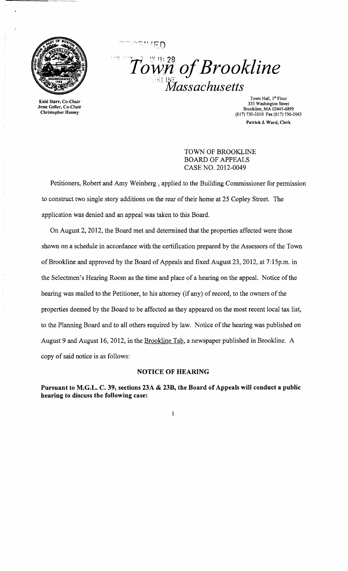

Enid Starr, Co-Chair Jesse Geller, Co-Chair Christopher Hussey

 $\mathit{Town}$  of Brookline *,"LMassachusetts* 

> Town Hall, 1" Floor 333 Washington Street Brookline, MA 02445-6899 (617)730-2010 Fax(617)730-2043 Patrick J. Ward, Clerk

### TOWN OF BROOKLINE BOARD OF APPEALS CASE NO. 2012-0049

Petitioners, Robert and Amy Weinberg, applied to the Building Commissioner for permission to construct two single story additions on the rear of their horne at 25 Copley Street. The application was denied and an appeal was taken to this Board.

On August 2,2012, the Board met and detennined that the properties affected were those shown on a schedule in accordance with the certification prepared by the Assessors of the Town of Brookline and approved by the Board of Appeals and fixed August 23, 2012, at 7:15p.m. in the Selectmen's Hearing Room as the time and place of a hearing on the appeal. Notice of the hearing was mailed to the Petitioner, to his attorney (if any) of record, to the owners of the properties deemed by the Board to be affected as they appeared on the most recent local tax list, to the Planning Board and to all others required by law. Notice of the hearing was published on August 9 and August 16, 2012, in the Brookline Tab, a newspaper published in Brookline. A copy of said notice is as follows:

### **NOTICE OF HEARING**

**Pursuant to M.G.L. C. 39, sections 23A & 23B, the Board of Appeals will conduct a public hearing to discuss the following case:** 

 $\mathbf{I}$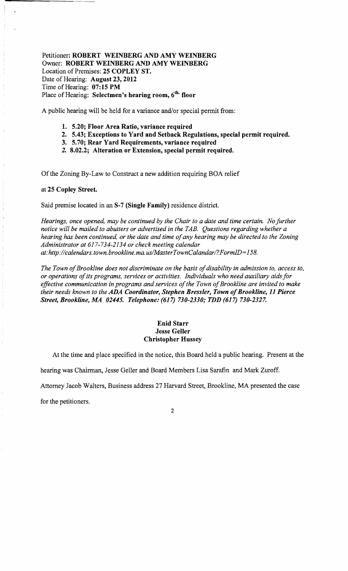Petitioner: ROBERT WEINBERG AND AMY WEINBERG Owner: ROBERT WEINBERG AND AMY WEINBERG Location of Premises: 25 COPLEY ST. Date of Hearing: August 23, 2012 Time of Hearing: 07:15 PM Place of Hearing: Selectmen's hearing room, 6<sup>th.</sup> floor

A public hearing will be held for a variance and/or special permit from:

- 1. 5.20; Floor Area Ratio, variance required
- 2. 5.43; Exceptions to Yard and Setback Regulations, special permit required.
- 3. 5.70; Rear Yard Requirements, variance required
- 2. 8.02.2; Alteration or Extension, special permit required.

Of the Zoning By-Law to Construct a new addition requiring BOA relief

#### at 25 Copley Street.

Said premise located in an S-7 (Single Family) residence district.

*Hearings, once opened, may be continued by the Chair to a date and time certain. No further notice will be mailed to abutters or advertised in the TAB. Questions regarding whether a hearing has been continued, or the date and time of any hearing may be directed to the Zoning Administrator at* 617-734-2134 *or check meeting calendar at: http://calendars.town.brookline.ma.usIMasterTownCalandarl? FormID=* 158.

The Town of Brookline does not discriminate on the basis of disability in admission to, access to, *or operations ofits programs, services or activities. Individuals who need auxiliary aids for*  effective communication in programs and services of the Town of Brookline are invited to make *their needs known to the ADA Coordinator, Stephen Bressler, Town of Brookline, 11 Pierce Street, Brookline, 1l1A 02445. Telephone:* (617) *730-2330; TDD* (617) *730-2327.* 

### Enid Starr Jesse Geller Christopher Hussey

At the time and place specified in the notice, this Board held a public hearing. Present at the

hearing was Chairman, Jesse Geller and Board Members Lisa Sarafin and Mark Zuroff.

Attorney Jacob Walters, Business address 27 Harvard Street, Brookline, MA presented the case

for the petitioners.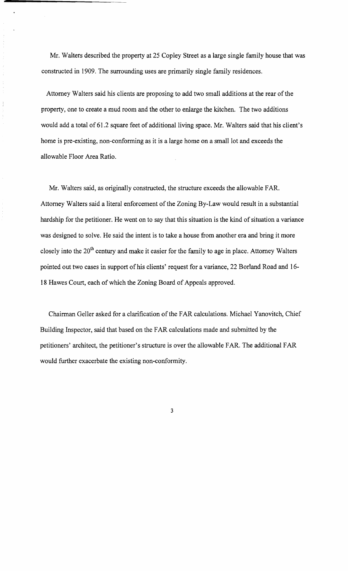Mr. Walters described the property at 25 Copley Street as a large single family house that was constructed in 1909. The surrounding uses are primarily single family residences.

Attorney Walters said his clients are proposing to add two small additions at the rear of the property, one to create a mud room and the other to enlarge the kitchen. The two additions would add a total of 61.2 square feet of additional living space. Mr. Walters said that his client's home is pre-existing, non-conforming as it is a large home on a small lot and exceeds the allowable Floor Area Ratio.

Mr. Walters said, as originally constructed, the structure exceeds the allowable FAR. Attorney Walters said a literal enforcement of the Zoning By-Law would result in a substantial hardship for the petitioner. He went on to say that this situation is the kind of situation a variance was designed to solve. He said the intent is to take a house from another era and bring it more closely into the 20<sup>th</sup> century and make it easier for the family to age in place. Attorney Walters pointed out two cases in support of his clients' request for a variance, 22 Borland Road and 16-18 Hawes Court, each of which the Zoning Board of Appeals approved.

Chairman Geller asked for a clarification of the FAR calculations. Michael Yanovitch, Chief Building Inspector, said that based on the FAR calculations made and submitted by the petitioners' architect, the petitioner's structure is over the allowable FAR. The additional FAR would further exacerbate the existing non-conformity.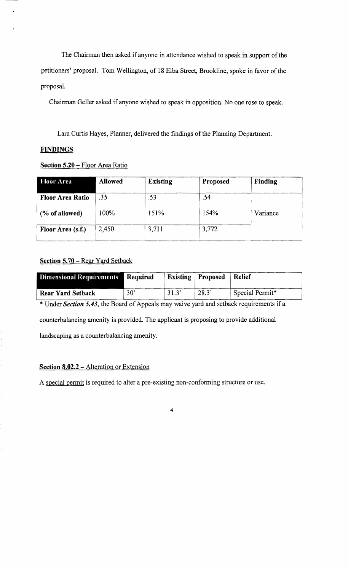The Chairman then asked if anyone in attendance wished to speak in support of the petitioners' proposal. Tom Wellington, of 18 Elba Street, Brookline, spoke in favor of the proposal.

Chairman Geller asked if anyone wished to speak in opposition. No one rose to speak.

Lara Curtis Hayes, Planner, delivered the findings of the Planning Department.

# **FINDINGS**

# Section 5.20 - Floor Area Ratio

| <b>Floor Area</b>       | <b>Allowed</b> | <b>Existing</b> | Proposed | Finding  |
|-------------------------|----------------|-----------------|----------|----------|
| <b>Floor Area Ratio</b> | .35            | .53             | .54      |          |
| $(\%$ of allowed)       | 100%           | 151%            | 154%     | Variance |
| Floor Area (s.f.)       | 2.450          | 3,711           | 3,772    |          |

# Section 5.70 - Rear Yard Setback

| <b>Dimensional Requirements</b> | Required |       | <b>Existing   Proposed</b> | Relief          |
|---------------------------------|----------|-------|----------------------------|-----------------|
| <b>Rear Yard Setback</b>        | 30'      | 31.3' | 28.3'                      | Special Permit* |

\* Under *Section 5.43*, the Board of Appeals may waive yard and setback requirements if a counterbalancing amenity is provided. The applicant is proposing to provide additional landscaping as a counterbalancing amenity.

## Section 8.02.2 - Alteration or Extension

A special permit is required to alter a pre-existing non-conforming structure or use.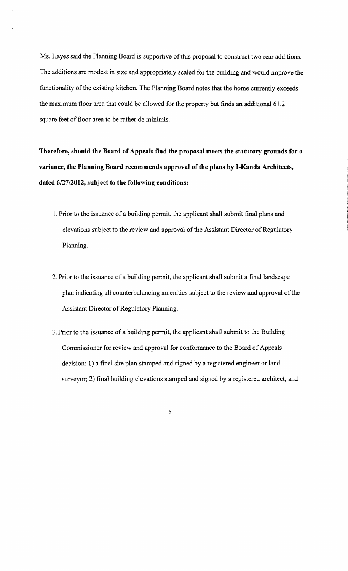Ms. Hayes said the Planning Board is supportive of this proposal to construct two rear additions. The additions are modest in size and appropriately scaled for the building and would improve the functionality of the existing kitchen. The Planning Board notes that the home currently exceeds the maximum floor area that could be allowed for the property but finds an additional 61.2 square feet of floor area to be rather de minimis.

**Therefore, should the Board of Appeals find the proposal meets the statutory grounds for a variance, the Planning Board recommends approval of the plans by I-Kanda Architects, dated** *6/2712012,* **subject to the following conditions:** 

- 1. Prior to the issuance of a building pennit, the applicant shall submit final plans and elevations subject to the review and approval of the Assistant Director of Regulatory Planning.
- 2. Prior to the issuance of a building permit, the applicant shall submit a final landscape plan indicating all counterbalancing amenities subject to the review and approval of the Assistant Director of Regulatory Planning.
- 3. Prior to the issuance of a building pennit, the applicant shall submit to the Building Commissioner for review and approval for conformance to the Board of Appeals decision: 1) a final site plan stamped and signed by a registered engineer or land surveyor; 2) final building elevations stamped and signed by a registered architect; and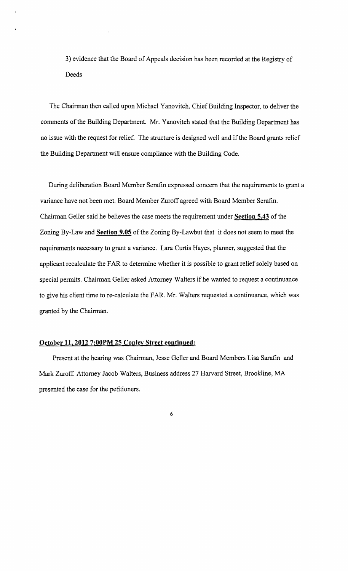3) evidence that the Board of Appeals decision has been recorded at the Registry of Deeds

The Chairman then called upon Michael Yanovitch, Chief Building Inspector, to deliver the comments of the Building Department. Mr. Yanovitch stated that the Building Department has no issue with the request for relief. The structure is designed well and if the Board grants relief the Building Department will ensure compliance with the Building Code.

During deliberation Board Member Serafin expressed concern that the requirements to grant a variance have not been met. Board Member Zuroff agreed with Board Member Serafin. Chairman Geller said he believes the case meets the requirement under **Section 5.43** of the Zoning By-Law and **Section 9.05** of the Zoning By-Lawbut that it does not seem to meet the requirements necessary to grant a variance. Lara Curtis Hayes, planner, suggested that the applicant recalculate the FAR to determine whether it is possible to grant relief solely based on special permits. Chairman Geller asked Attorney Walters if he wanted to request a continuance to give his client time to re-calculate the FAR. Mr. Walters requested a continuance, which was granted by the Chairman.

#### **October 11,2012 7:00PM 25 Copley Street continued:**

Present at the hearing was Chairman, Jesse Geller and Board Members Lisa Sarafin and Mark Zuroff. Attorney Jacob Walters, Business address 27 Harvard Street, Brookline, MA presented the case for the petitioners.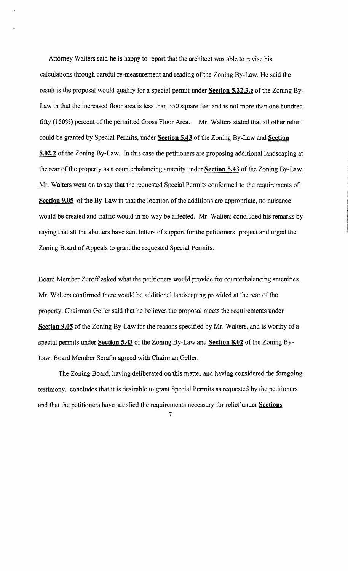Attorney Walters said he is happy to report that the architect was able to revise his calculations through careful re-measurement and reading of the Zoning By-Law. He said the result is the proposal would qualify for a special permit under **Section 5.22.3.c** of the Zoning By-Law in that the increased floor area is less than 350 square feet and is not more than one hundred fifty (150%) percent of the permitted Gross Floor Area. Mr. Walters stated that all other relief could be granted by Special Permits, under **Section 5.43** of the Zoning By-Law and **Section 8.02.2** of the Zoning By-Law. In this case the petitioners are proposing additional landscaping at the rear of the property as a counterbalancing amenity under **Section 5.43** of the Zoning By-Law. Mr. Walters went on to say that the requested Special Permits conformed to the requirements of **Section 9.05** of the By-Law in that the location of the additions are appropriate, no nuisance would be created and traffic would in no way be affected. Mr. Walters concluded his remarks by saying that all the abutters have sent letters of support for the petitioners' project and urged the Zoning Board of Appeals to grant the requested Special Permits.

Board Member Zuroff asked what the petitioners would provide for counterbalancing amenities. Mr. Walters confirmed there would be additional landscaping provided at the rear of the property. Chairman Geller said that he believes the proposal meets the requirements under **Section 9.05** of the Zoning By-Law for the reasons specified by Mr. Walters, and is worthy of a special permits under **Section 5.43** of the Zoning By-Law and **Section 8.02** ofthe Zoning By-Law. Board Member Serafin agreed with Chairman Geller.

The Zoning Board, having deliberated on this matter and having considered the foregoing testimony, concludes that it is desirable to grant Special Permits as requested by the petitioners and that the petitioners have satisfied the requirements necessary for relief under **Sections**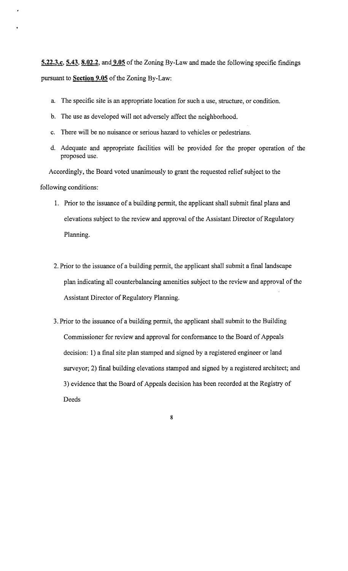**5.22.3.c, 5.43, 8.02.2, and 9.05** of the Zoning By-Law and made the following specific findings pursuant to **Section 9.05** of the Zoning By-Law:

- a. The specific site is an appropriate location for such a use, structure, or condition.
- b. The use as developed will not adversely affect the neighborhood.
- c. There will be no nuisance or serious hazard to vehicles or pedestrians.
- d. Adequate and appropriate facilities will be provided for the proper operation of the proposed use.

Accordingly, the Board voted unanimously to grant the requested relief subject to the following conditions:

- 1. Prior to the issuance of a building permit, the applicant shall submit final plans and elevations subject to the review and approval of the Assistant Director of Regulatory Planning.
- 2. Prior to the issuance of a building permit, the applicant shall submit a final landscape plan indicating all counterbalancing amenities subject to the review and approval of the Assistant Director of Regulatory Planning.
- 3. Prior to the issuance of a building permit, the applicant shall submit to the Building Commissioner for review and approval for conformance to the Board of Appeals decision: 1) a final site plan stamped and signed by a registered engineer or land surveyor; 2) final building elevations stamped and signed by a registered architect; and 3) evidence that the Board of Appeals decision has been recorded at the Registry of Deeds